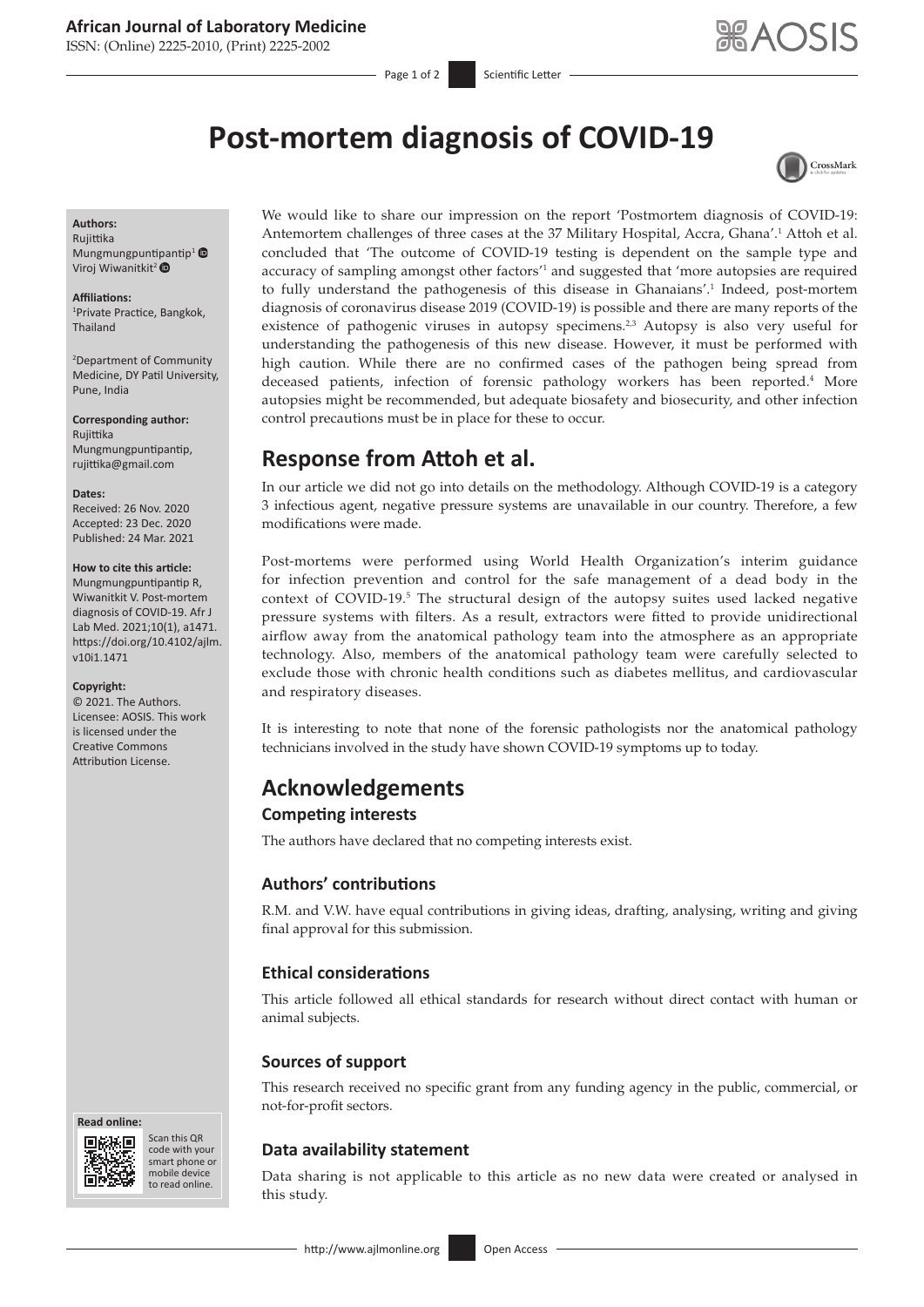ISSN: (Online) 2225-2010, (Print) 2225-2002

Page 1 of 2 Scientific Letter

<span id="page-0-2"></span>CrossMark

# **Post-mortem diagnosis of COVID-19**

#### **Authors:**

Rujittika Mungmungpun[tipan](https://orcid.org/0000-0003-1039-3728)tip<sup>1</sup> $\bullet$ Viroj Wiwanitkit<sup>2</sup>

**Affiliations:** 1 Private Practice, Bangkok, Thailand

2 Department of Community Medicine, DY Patil University, Pune, India

**Corresponding author:** Rujittika Mungmungpuntipantip, [rujittika@gmail.com](mailto:rujittika@gmail.com)

#### **Dates:**

Received: 26 Nov. 2020 Accepted: 23 Dec. 2020 Published: 24 Mar. 2021

#### **How to cite this article:**

Mungmungpuntipantip R, Wiwanitkit V. Post-mortem diagnosis of COVID-19. Afr J Lab Med. 2021;10(1), a1471. [https://doi.org/10.4102/ajlm.](https://doi.org/10.4102/ajlm.v10i1.1471) [v10i1.1471](https://doi.org/10.4102/ajlm.v10i1.1471)

#### **Copyright:**

© 2021. The Authors. Licensee: AOSIS. This work is licensed under the Creative Commons Attribution License.

**Read online: Read online:**



Scan this QR code with your Scan this QR<br>code with your<br>smart phone or<br>mobile device mobile device to read online. to read online.

<span id="page-0-1"></span><span id="page-0-0"></span>We would like to share our impression on the report 'Postmortem diagnosis of COVID-19: Antemortem challenges of three cases at the 37 Military Hospital, Accra, Ghana'.<sup>1</sup> Attoh et al. concluded that 'The outcome of COVID-19 testing is dependent on the sample type and accuracy of sampling amongst other factors<sup>'[1](#page-1-0)</sup> and suggested that 'more autopsies are required to fully understand the pathogenesis of this disease in Ghanaians'.<sup>[1](#page-1-0)</sup> Indeed, post-mortem diagnosis of coronavirus disease 2019 (COVID-19) is possible and there are many reports of the existence of pathogenic viruses in autopsy specimens.<sup>2[,3](#page-1-2)</sup> Autopsy is also very useful for understanding the pathogenesis of this new disease. However, it must be performed with high caution. While there are no confirmed cases of the pathogen being spread from deceased patients, infection of forensic pathology workers has been reported.[4](#page-1-3) More autopsies might be recommended, but adequate biosafety and biosecurity, and other infection control precautions must be in place for these to occur.

# <span id="page-0-3"></span>**Response from Attoh et al.**

In our article we did not go into details on the methodology. Although COVID-19 is a category 3 infectious agent, negative pressure systems are unavailable in our country. Therefore, a few modifications were made.

<span id="page-0-4"></span>Post-mortems were performed using World Health Organization's interim guidance for infection prevention and control for the safe management of a dead body in the context of COVID-19.<sup>[5](#page-1-4)</sup> The structural design of the autopsy suites used lacked negative pressure systems with filters. As a result, extractors were fitted to provide unidirectional airflow away from the anatomical pathology team into the atmosphere as an appropriate technology. Also, members of the anatomical pathology team were carefully selected to exclude those with chronic health conditions such as diabetes mellitus, and cardiovascular and respiratory diseases.

It is interesting to note that none of the forensic pathologists nor the anatomical pathology technicians involved in the study have shown COVID-19 symptoms up to today.

## **Acknowledgements**

#### **Competing interests**

The authors have declared that no competing interests exist.

#### **Authors' contributions**

R.M. and V.W. have equal contributions in giving ideas, drafting, analysing, writing and giving final approval for this submission.

## **Ethical considerations**

This article followed all ethical standards for research without direct contact with human or animal subjects.

## **Sources of support**

This research received no specific grant from any funding agency in the public, commercial, or not-for-profit sectors.

## **Data availability statement**

Data sharing is not applicable to this article as no new data were created or analysed in this study.